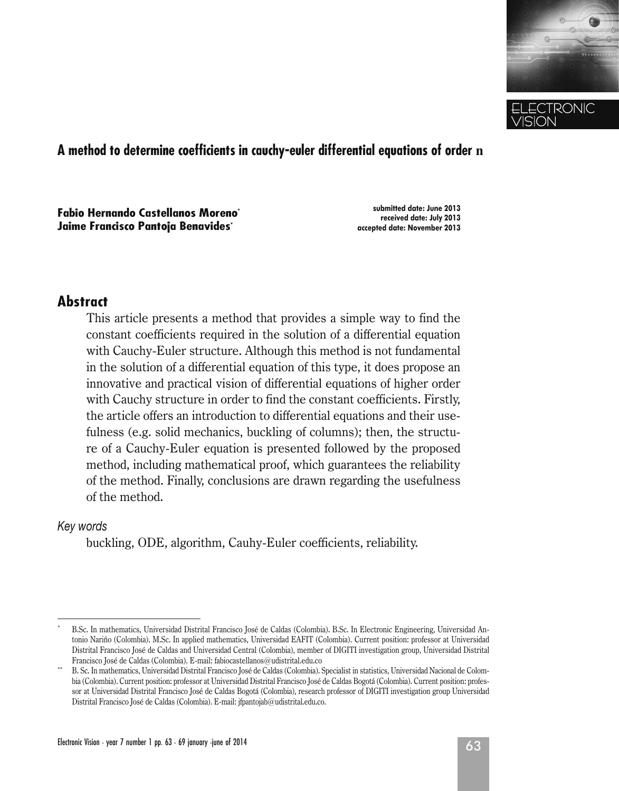

# **A method to determine coefficients in cauchy-euler differential equations of order n**

**Fabio Hernando Castellanos Moreno\* Jaime Francisco Pantoja Benavides\***

**submitted date: June 2013 received date: July 2013 accepted date: November 2013**

## **Abstract**

This article presents a method that provides a simple way to find the constant coefficients required in the solution of a differential equation with Cauchy-Euler structure. Although this method is not fundamental in the solution of a differential equation of this type, it does propose an innovative and practical vision of differential equations of higher order with Cauchy structure in order to find the constant coefficients. Firstly, the article offers an introduction to differential equations and their usefulness (e.g. solid mechanics, buckling of columns); then, the structure of a Cauchy-Euler equation is presented followed by the proposed method, including mathematical proof, which guarantees the reliability of the method. Finally, conclusions are drawn regarding the usefulness of the method.

## *Key words*

buckling, ODE, algorithm, Cauhy-Euler coefficients, reliability.

<sup>\*</sup> B.Sc. In mathematics, Universidad Distrital Francisco José de Caldas (Colombia). B.Sc. In Electronic Engineering, Universidad Antonio Nariño (Colombia). M.Sc. In applied mathematics, Universidad EAFIT (Colombia). Current position: professor at Universidad Distrital Francisco José de Caldas and Universidad Central (Colombia), member of DIGITI investigation group, Universidad Distrital Francisco José de Caldas (Colombia). E-mail: fabiocastellanos@udistrital.edu.co

B. Sc. In mathematics, Universidad Distrital Francisco José de Caldas (Colombia). Specialist in statistics, Universidad Nacional de Colombia (Colombia). Current position: professor at Universidad Distrital Francisco José de Caldas Bogotá (Colombia). Current position: professor at Universidad Distrital Francisco José de Caldas Bogotá (Colombia), research professor of DIGITI investigation group Universidad Distrital Francisco José de Caldas (Colombia). E-mail: jfpantojab@udistrital.edu.co.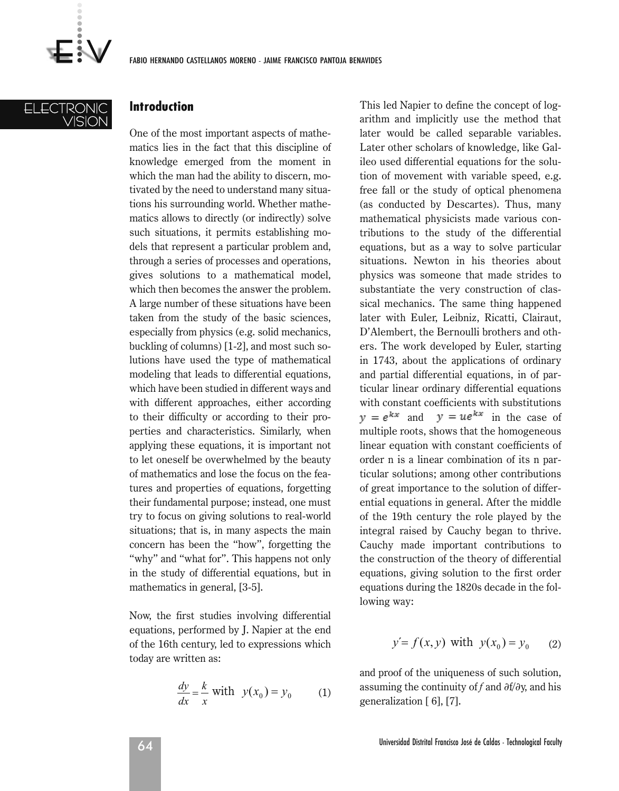

## **Introduction**

One of the most important aspects of mathematics lies in the fact that this discipline of knowledge emerged from the moment in which the man had the ability to discern, motivated by the need to understand many situations his surrounding world. Whether mathematics allows to directly (or indirectly) solve such situations, it permits establishing models that represent a particular problem and, through a series of processes and operations, gives solutions to a mathematical model, which then becomes the answer the problem. A large number of these situations have been taken from the study of the basic sciences, especially from physics (e.g. solid mechanics, buckling of columns) [1-2], and most such solutions have used the type of mathematical modeling that leads to differential equations, which have been studied in different ways and with different approaches, either according to their difficulty or according to their properties and characteristics. Similarly, when applying these equations, it is important not to let oneself be overwhelmed by the beauty of mathematics and lose the focus on the features and properties of equations, forgetting their fundamental purpose; instead, one must try to focus on giving solutions to real-world situations; that is, in many aspects the main concern has been the "how", forgetting the "why" and "what for". This happens not only in the study of differential equations, but in mathematics in general, [3-5].

Now, the first studies involving differential equations, performed by J. Napier at the end of the 16th century, led to expressions which today are written as:

$$
\frac{dy}{dx} = \frac{k}{x} \text{ with } y(x_0) = y_0 \qquad (1)
$$

This led Napier to define the concept of logarithm and implicitly use the method that later would be called separable variables. Later other scholars of knowledge, like Galileo used differential equations for the solution of movement with variable speed, e.g. free fall or the study of optical phenomena (as conducted by Descartes). Thus, many mathematical physicists made various contributions to the study of the differential equations, but as a way to solve particular situations. Newton in his theories about physics was someone that made strides to substantiate the very construction of classical mechanics. The same thing happened later with Euler, Leibniz, Ricatti, Clairaut, D'Alembert, the Bernoulli brothers and others. The work developed by Euler, starting in 1743, about the applications of ordinary and partial differential equations, in of particular linear ordinary differential equations with constant coefficients with substitutions  $y = e^{kx}$  and  $y = ue^{kx}$  in the case of multiple roots, shows that the homogeneous linear equation with constant coefficients of order n is a linear combination of its n particular solutions; among other contributions of great importance to the solution of differential equations in general. After the middle of the 19th century the role played by the integral raised by Cauchy began to thrive. Cauchy made important contributions to the construction of the theory of differential equations, giving solution to the first order equations during the 1820s decade in the following way:

$$
y'= f(x, y)
$$
 with  $y(x_0) = y_0$  (2)

and proof of the uniqueness of such solution, assuming the continuity of *f* and ∂f/∂y, and his generalization [ 6], [7].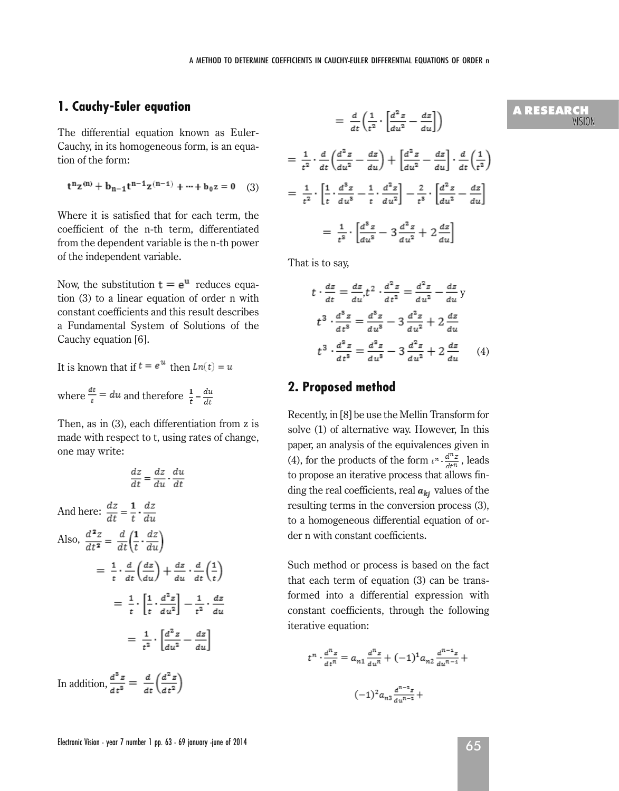#### **1. Cauchy-Euler equation**

The differential equation known as Euler-Cauchy, in its homogeneous form, is an equation of the form:

$$
t^{n}z^{(n)} + b_{n-1}t^{n-1}z^{(n-1)} + \dots + b_{0}z = 0 \quad (3)
$$

Where it is satisfied that for each term, the coefficient of the n-th term, differentiated from the dependent variable is the n-th power of the independent variable.

Now, the substitution  $t = e^u$  reduces equation (3) to a linear equation of order n with constant coefficients and this result describes a Fundamental System of Solutions of the Cauchy equation [6].

It is known that if  $t = e^u$  then  $Ln(t) = u$ 

where  $\frac{dt}{t} = du$  and therefore  $\frac{1}{t} = \frac{du}{dt}$ 

Then, as in (3), each differentiation from z is made with respect to t, using rates of change, one may write:

$$
\frac{dz}{dt} = \frac{dz}{du} \cdot \frac{du}{dt}
$$
\nAnd here: 
$$
\frac{dz}{dt} = \frac{1}{t} \cdot \frac{dz}{du}
$$
\n
$$
\text{Also, } \frac{d^2z}{dt^2} = \frac{d}{dt} \left( \frac{1}{t} \cdot \frac{dz}{du} \right)
$$
\n
$$
= \frac{1}{t} \cdot \frac{d}{dt} \left( \frac{dz}{du} \right) + \frac{dz}{du} \cdot \frac{d}{dt} \left( \frac{1}{t} \right)
$$
\n
$$
= \frac{1}{t} \cdot \left[ \frac{1}{t} \cdot \frac{d^2z}{du^2} \right] - \frac{1}{t^2} \cdot \frac{dz}{du}
$$
\n
$$
= \frac{1}{t^2} \cdot \left[ \frac{d^2z}{du^2} - \frac{dz}{du} \right]
$$

In addition,  $\frac{d^3 z}{dt^3} = \frac{d}{dt} \left( \frac{d^2 z}{dt^2} \right)$ 

$$
= \frac{1}{dt} \left( \frac{1}{t^2} \cdot \left[ \frac{1}{du^2} - \frac{1}{du} \right] \right)
$$
  

$$
= \frac{1}{t^2} \cdot \frac{d}{dt} \left( \frac{d^2 z}{du^2} - \frac{dz}{du} \right) + \left[ \frac{d^2 z}{du^2} - \frac{dz}{du} \right] \cdot \frac{d}{dt} \left( \frac{1}{t^2} \right)
$$
  

$$
= \frac{1}{t^2} \cdot \left[ \frac{1}{t} \cdot \frac{d^3 z}{du^3} - \frac{1}{t} \cdot \frac{d^2 z}{du^2} \right] - \frac{2}{t^3} \cdot \left[ \frac{d^2 z}{du^2} - \frac{dz}{du} \right]
$$
  

$$
= \frac{1}{t^3} \cdot \left[ \frac{d^3 z}{du^3} - 3 \frac{d^2 z}{du^2} + 2 \frac{dz}{du} \right]
$$

 $d \neq 1$   $\lceil d^2z \rceil$   $dz$ ])

That is to say,

$$
t \cdot \frac{dz}{dt} = \frac{dz}{du}t^2 \cdot \frac{d^2z}{dt^2} = \frac{d^2z}{du^2} - \frac{dz}{du}y
$$
  

$$
t^3 \cdot \frac{d^3z}{dt^3} = \frac{d^3z}{du^3} - 3\frac{d^2z}{du^2} + 2\frac{dz}{du}
$$
  

$$
t^3 \cdot \frac{d^3z}{dt^3} = \frac{d^3z}{du^3} - 3\frac{d^2z}{du^2} + 2\frac{dz}{du}
$$
 (4)

## **2. Proposed method**

Recently, in [8] be use the Mellin Transform for solve (1) of alternative way. However, In this paper, an analysis of the equivalences given in (4), for the products of the form  $t^n \cdot \frac{d^n z}{dt^n}$ , leads to propose an iterative process that allows finding the real coefficients, real  $a_{ki}$  values of the resulting terms in the conversion process (3), to a homogeneous differential equation of order n with constant coefficients.

Such method or process is based on the fact that each term of equation (3) can be transformed into a differential expression with constant coefficients, through the following iterative equation:

$$
t^{n} \cdot \frac{d^{n}z}{dt^{n}} = a_{n1} \frac{d^{n}z}{du^{n}} + (-1)^{n} a_{n2} \frac{d^{n-1}z}{du^{n-1}} + (-1)^{n} a_{n3} \frac{d^{n-2}z}{du^{n-2}} +
$$

#### **A RESEARCH** VISION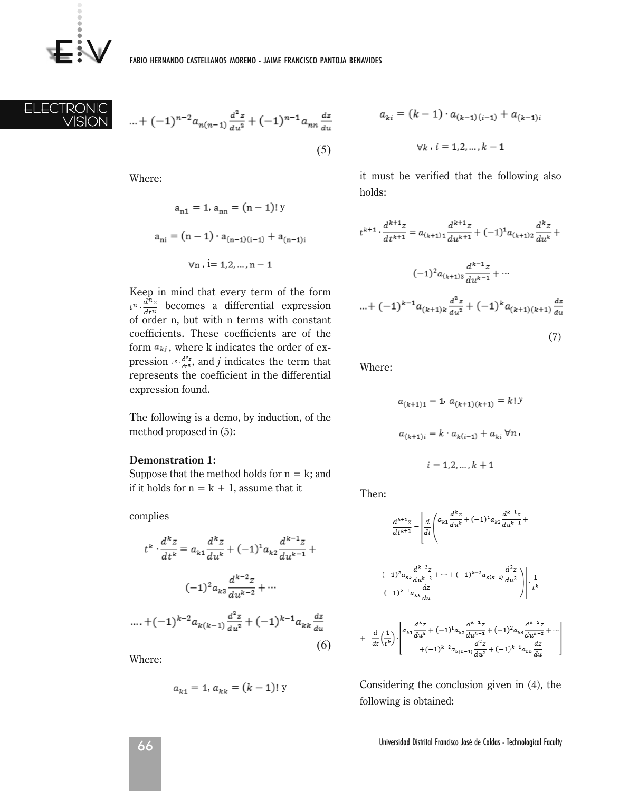

(5)



$$
\dots + (-1)^{n-2} a_{n(n-1)} \frac{d^2 z}{du^2} + (-1)^{n-1} a_{nn} \frac{dz}{du}
$$

Where:

$$
a_{n1} = 1, a_{nn} = (n - 1)! y
$$
  

$$
a_{ni} = (n - 1) \cdot a_{(n-1)(i-1)} + a_{(n-1)i}
$$
  

$$
\forall n, i = 1, 2, ..., n - 1
$$

Keep in mind that every term of the form becomes a differential expression of order n, but with n terms with constant coefficients. These coefficients are of the form  $a_{kj}$ , where k indicates the order of expression  $t^k \frac{d^k z}{dt^m}$ , and *j* indicates the term that represents the coefficient in the differential expression found.

The following is a demo, by induction, of the method proposed in (5):

#### **Demonstration 1:**

Suppose that the method holds for  $n = k$ ; and if it holds for  $n = k + 1$ , assume that it

complies

$$
t^{k} \cdot \frac{d^{k}z}{dt^{k}} = a_{k1} \frac{d^{k}z}{du^{k}} + (-1)^{1} a_{k2} \frac{d^{k-1}z}{du^{k-1}} + (-1)^{2} a_{k3} \frac{d^{k-2}z}{du^{k-2}} + \cdots
$$

$$
\cdots + (-1)^{k-2} a_{k(k-1)} \frac{d^{2}z}{du^{2}} + (-1)^{k-1} a_{kk} \frac{dz}{du}
$$

$$
(6)
$$

Where:

$$
a_{k1} = 1, a_{kk} = (k-1)! y
$$

$$
a_{ki} = (k-1) \cdot a_{(k-1)(i-1)} + a_{(k-1)i}
$$
  

$$
\forall k, i = 1, 2, ..., k-1
$$

it must be verified that the following also holds:

$$
t^{k+1} \cdot \frac{d^{k+1}z}{dt^{k+1}} = a_{(k+1)1} \frac{d^{k+1}z}{du^{k+1}} + (-1)^{1} a_{(k+1)2} \frac{d^{k}z}{du^{k}} + (-1)^{2} a_{(k+1)3} \frac{d^{k-1}z}{du^{k-1}} + \cdots
$$
  
...+  $(-1)^{k-1} a_{(k+1)k} \frac{d^{2}z}{du^{2}} + (-1)^{k} a_{(k+1)(k+1)} \frac{dz}{du}$  (7)

Where:

$$
a_{(k+1)1} = 1, a_{(k+1)(k+1)} = k! y
$$
  

$$
a_{(k+1)i} = k \cdot a_{k(i-1)} + a_{ki} \,\forall n
$$
,  

$$
i = 1, 2, ..., k+1
$$

Then:

$$
\frac{d^{k+1}z}{dt^{k+1}} = \left[ \frac{d}{dt} \left( a_{k1} \frac{d^k z}{du^k} + (-1)^1 a_{k2} \frac{d^{k-1}z}{du^{k-1}} + (-1)^2 a_{k3} \frac{d^{k-2}z}{du^{k-2}} + \dots + (-1)^{k-2} a_{k(k-1)} \frac{d^2 z}{du^2} \right) \right] \cdot \frac{1}{t^k}
$$
  

$$
(-1)^{k-1} a_{kk} \frac{dz}{du}
$$
  

$$
+ \frac{d}{dt} \left( \frac{1}{t^k} \right) \cdot \left[ a_{k1} \frac{d^k z}{du^k} + (-1)^1 a_{k2} \frac{d^{k-1}z}{du^{k-1}} + (-1)^2 a_{k3} \frac{d^{k-2}z}{du^{k-2}} + (-1)^{k-1} a_{kk} \frac{dz}{du} + (-1)^{k-2} a_{k(k-1)} \frac{d^2 z}{du^2} + (-1)^{k-1} a_{kk} \frac{dz}{du} \right]
$$

Considering the conclusion given in (4), the following is obtained: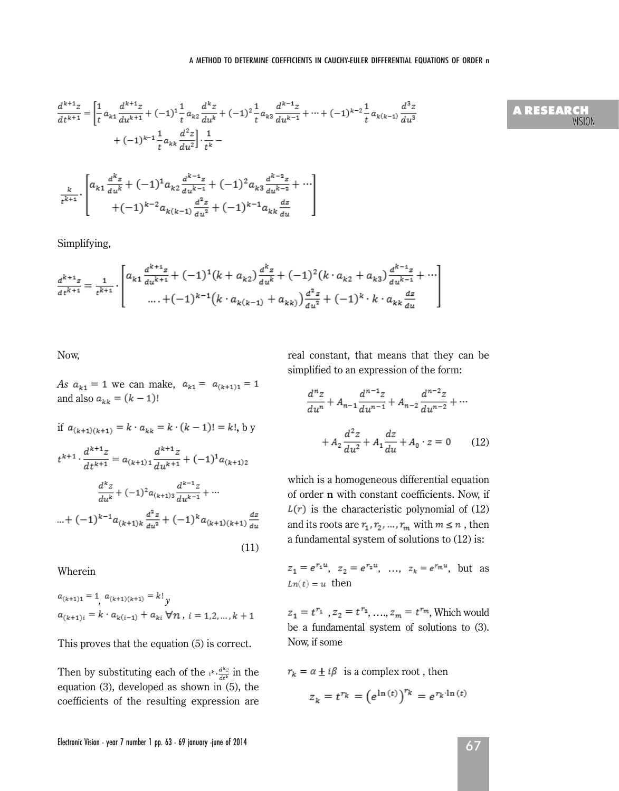$$
\frac{d^{k+1}z}{dt^{k+1}} = \left[\frac{1}{t}a_{k1}\frac{d^{k+1}z}{du^{k+1}} + (-1)^1\frac{1}{t}a_{k2}\frac{d^kz}{du^k} + (-1)^2\frac{1}{t}a_{k3}\frac{d^{k-1}z}{du^{k-1}} + \dots + (-1)^{k-2}\frac{1}{t}a_{k(k-1)}\frac{d^3z}{du^3} + (-1)^{k-1}\frac{1}{t}a_{kk}\frac{d^2z}{du^2}\right]\cdot\frac{1}{t^k} -
$$

$$
\frac{k}{t^{k+1}} \cdot \begin{bmatrix} a_{k1} \frac{d^k z}{du^k} + (-1)^1 a_{k2} \frac{d^{k-1} z}{du^{k-1}} + (-1)^2 a_{k3} \frac{d^{k-2} z}{du^{k-2}} + \cdots \\ + (-1)^{k-2} a_{k(k-1)} \frac{d^2 z}{du^2} + (-1)^{k-1} a_{kk} \frac{dz}{du} \end{bmatrix}
$$

Simplifying,

$$
\frac{d^{k+1}z}{dt^{k+1}} = \frac{1}{t^{k+1}} \cdot \begin{bmatrix} a_{k1} \frac{d^{k+1}z}{du^{k+1}} + (-1)^{k} (k + a_{k2}) \frac{d^{k}z}{du^{k}} + (-1)^{k} (k \cdot a_{k2} + a_{k3}) \frac{d^{k-1}z}{du^{k-1}} + \cdots \\ \dots + (-1)^{k-1} (k \cdot a_{k(k-1)} + a_{kk}) \frac{d^{k}z}{du^{k}} + (-1)^{k} \cdot k \cdot a_{kk} \frac{dz}{du} \end{bmatrix}
$$

Now,

*As*  $a_{k1} = 1$  we can make,  $a_{k1} = a_{(k+1)1} = 1$ and also  $a_{kk} = (k-1)!$ 

if 
$$
a_{(k+1)(k+1)} = k \cdot a_{kk} = k \cdot (k-1)! = k!
$$
, by  
\n
$$
t^{k+1} \cdot \frac{d^{k+1}z}{dt^{k+1}} = a_{(k+1)1} \frac{d^{k+1}z}{du^{k+1}} + (-1)^{1} a_{(k+1)2}
$$
\n
$$
\frac{d^{k}z}{du^{k}} + (-1)^{2} a_{(k+1)3} \frac{d^{k-1}z}{du^{k-1}} + \cdots
$$
\n
$$
\dots + (-1)^{k-1} a_{(k+1)k} \frac{d^{2}z}{du^{2}} + (-1)^{k} a_{(k+1)(k+1)} \frac{dz}{du}
$$
\n(11)

Wherein

$$
a_{(k+1)i} = 1, a_{(k+1)(k+1)} = k! \ y
$$
  
\n
$$
a_{(k+1)i} = k \cdot a_{k(i-1)} + a_{ki} \ \forall n, i = 1, 2, ..., k+1
$$

This proves that the equation (5) is correct.

Then by substituting each of the  $t^k \cdot \frac{d^k z}{dt^k}$  in the equation (3), developed as shown in (5), the coefficients of the resulting expression are

real constant, that means that they can be simplified to an expression of the form:

$$
\frac{d^{n}z}{du^{n}} + A_{n-1}\frac{d^{n-1}z}{du^{n-1}} + A_{n-2}\frac{d^{n-2}z}{du^{n-2}} + \cdots
$$

$$
+ A_{2}\frac{d^{2}z}{du^{2}} + A_{1}\frac{dz}{du} + A_{0} \cdot z = 0 \qquad (12)
$$

which is a homogeneous differential equation of order **n** with constant coefficients. Now, if  $L(r)$  is the characteristic polynomial of (12) and its roots are  $r_1, r_2, \ldots, r_m$  with  $m \leq n$  , then a fundamental system of solutions to (12) is:

 $z_1 = e^{r_1 u}$ ,  $z_2 = e^{r_2 u}$ , ...,  $z_k = e^{r_m u}$ , but as  $Ln(t) = u$  then

 $z_1 = t^{r_1}$ ,  $z_2 = t^{r_2}$ , ...,  $z_m = t^{r_m}$ , Which would be a fundamental system of solutions to (3). Now, if some

$$
r_k = \alpha \pm i\beta \text{ is a complex root, then}
$$

$$
z_k = t^{r_k} = \left(e^{\ln{(t)}}\right)^{r_k} = e^{r_k \cdot \ln{(t)}}
$$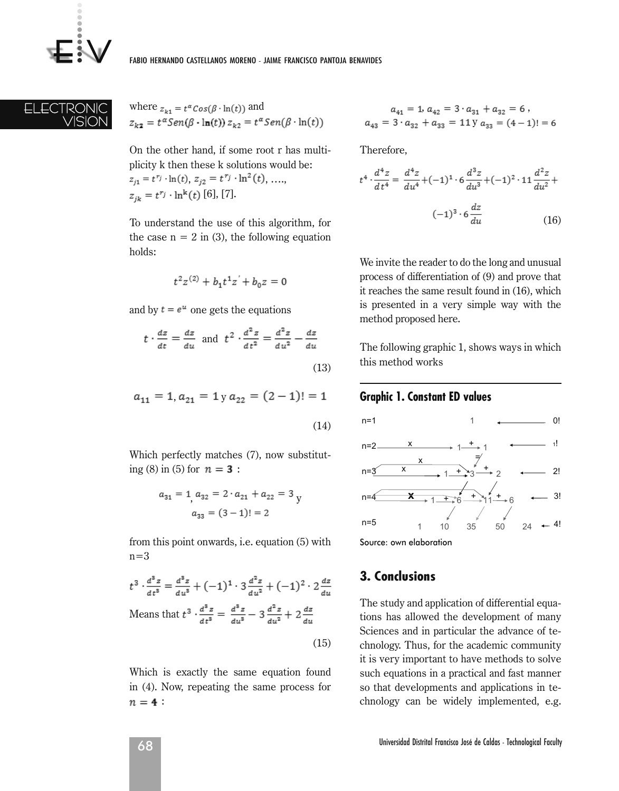

Fabio Hernando Castellanos Moreno - Jaime Francisco Pantoja Benavides

# ELECTRONI

where  $z_{k1} = t^{\alpha} \cos(\beta \cdot \ln(t))$  and  $z_{k2} = t^{\alpha} \mathcal{S}en(\beta \cdot \ln(t)) z_{k2} = t^{\alpha} \mathcal{S}en(\beta \cdot \ln(t))$ 

On the other hand, if some root r has multiplicity k then these k solutions would be:  $z_{i1} = t^{r_i} \cdot \ln(t)$ ,  $z_{i2} = t^{r_i} \cdot \ln^2(t)$ , ...,  $z_{ik} = t^{r_j} \cdot \ln^{k}(t)$  [6], [7].

To understand the use of this algorithm, for the case  $n = 2$  in (3), the following equation holds:

$$
t^2 z^{(2)} + b_1 t^1 z' + b_0 z = 0
$$

and by  $t = e^u$  one gets the equations

$$
t \cdot \frac{dz}{dt} = \frac{dz}{du} \text{ and } t^2 \cdot \frac{d^2 z}{dt^2} = \frac{d^2 z}{du^2} - \frac{dz}{du}
$$
\n(13)

$$
a_{11} = 1, a_{21} = 1 \, \text{y} \, a_{22} = (2 - 1)! = 1
$$
\n
$$
(14)
$$

Which perfectly matches (7), now substituting (8) in (5) for  $n = 3$ :

$$
a_{31} = 1, a_{32} = 2 \cdot a_{21} + a_{22} = 3
$$
  

$$
a_{33} = (3 - 1)! = 2
$$

from this point onwards, i.e. equation (5) with  $n=3$ 

$$
t^{3} \cdot \frac{d^{3}z}{dt^{3}} = \frac{d^{3}z}{du^{3}} + (-1)^{1} \cdot 3\frac{d^{2}z}{du^{2}} + (-1)^{2} \cdot 2\frac{dz}{du}
$$
  
Mean that  $t^{3} \cdot \frac{d^{3}z}{dt^{3}} = \frac{d^{3}z}{du^{3}} - 3\frac{d^{2}z}{du^{2}} + 2\frac{dz}{du}$ 

Which is exactly the same equation found in (4). Now, repeating the same process for  $n=4$ :

$$
\begin{aligned}\na_{41} &= 1, a_{42} = 3 \cdot a_{31} + a_{32} = 6, \\
a_{43} &= 3 \cdot a_{32} + a_{33} = 11 \,\text{y} \ a_{33} = (4 - 1)! = 6\n\end{aligned}
$$

Therefore,

$$
t^{4} \cdot \frac{d^{4}z}{dt^{4}} = \frac{d^{4}z}{du^{4}} + (-1)^{1} \cdot 6 \frac{d^{3}z}{du^{3}} + (-1)^{2} \cdot 11 \frac{d^{2}z}{du^{2}} + (-1)^{3} \cdot 6 \frac{dz}{du}
$$
 (16)

We invite the reader to do the long and unusual process of differentiation of (9) and prove that it reaches the same result found in (16), which is presented in a very simple way with the method proposed here.

The following graphic 1, shows ways in which this method works

### **Graphic 1. Constant ED values**



## **3. Conclusions**

(15)

The study and application of differential equations has allowed the development of many Sciences and in particular the advance of technology. Thus, for the academic community it is very important to have methods to solve such equations in a practical and fast manner so that developments and applications in technology can be widely implemented, e.g.